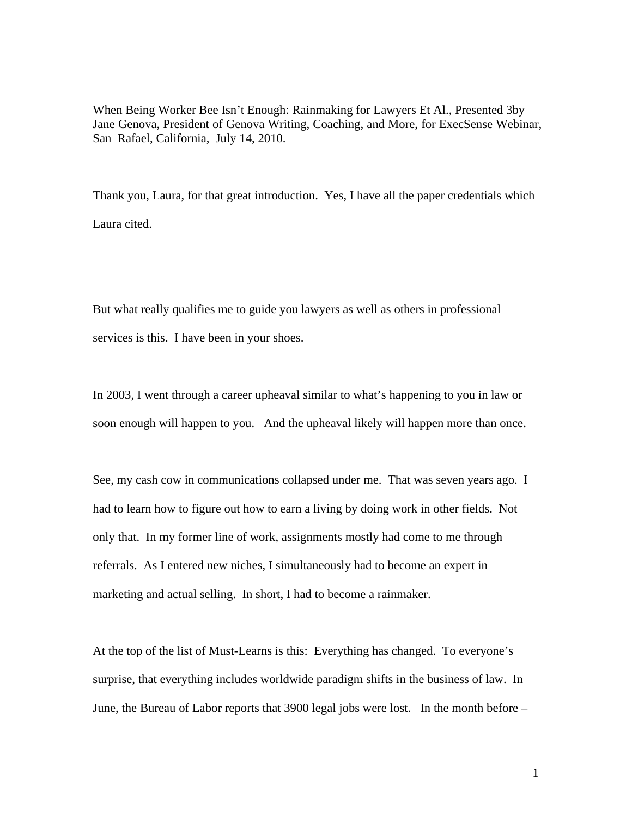When Being Worker Bee Isn't Enough: Rainmaking for Lawyers Et Al., Presented 3by Jane Genova, President of Genova Writing, Coaching, and More, for ExecSense Webinar, San Rafael, California, July 14, 2010.

Thank you, Laura, for that great introduction. Yes, I have all the paper credentials which Laura cited.

But what really qualifies me to guide you lawyers as well as others in professional services is this. I have been in your shoes.

In 2003, I went through a career upheaval similar to what's happening to you in law or soon enough will happen to you. And the upheaval likely will happen more than once.

See, my cash cow in communications collapsed under me. That was seven years ago. I had to learn how to figure out how to earn a living by doing work in other fields. Not only that. In my former line of work, assignments mostly had come to me through referrals. As I entered new niches, I simultaneously had to become an expert in marketing and actual selling. In short, I had to become a rainmaker.

At the top of the list of Must-Learns is this: Everything has changed. To everyone's surprise, that everything includes worldwide paradigm shifts in the business of law. In June, the Bureau of Labor reports that 3900 legal jobs were lost. In the month before –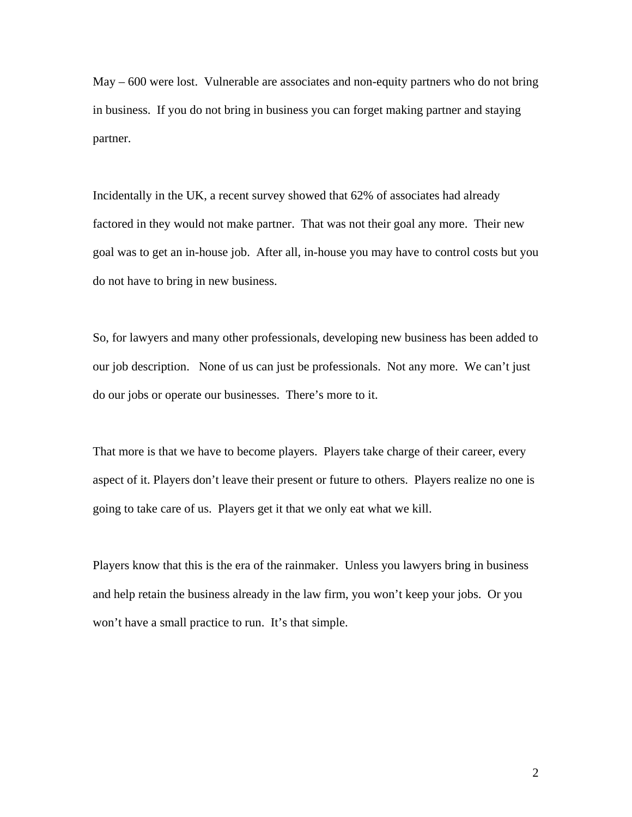May – 600 were lost. Vulnerable are associates and non-equity partners who do not bring in business. If you do not bring in business you can forget making partner and staying partner.

Incidentally in the UK, a recent survey showed that 62% of associates had already factored in they would not make partner. That was not their goal any more. Their new goal was to get an in-house job. After all, in-house you may have to control costs but you do not have to bring in new business.

So, for lawyers and many other professionals, developing new business has been added to our job description. None of us can just be professionals. Not any more. We can't just do our jobs or operate our businesses. There's more to it.

That more is that we have to become players. Players take charge of their career, every aspect of it. Players don't leave their present or future to others. Players realize no one is going to take care of us. Players get it that we only eat what we kill.

Players know that this is the era of the rainmaker. Unless you lawyers bring in business and help retain the business already in the law firm, you won't keep your jobs. Or you won't have a small practice to run. It's that simple.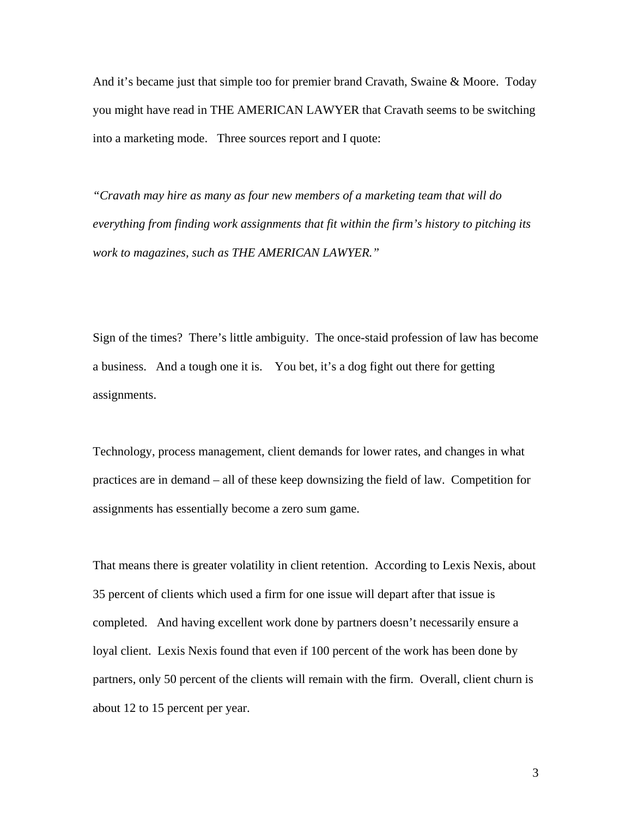And it's became just that simple too for premier brand Cravath, Swaine & Moore. Today you might have read in THE AMERICAN LAWYER that Cravath seems to be switching into a marketing mode. Three sources report and I quote:

*"Cravath may hire as many as four new members of a marketing team that will do everything from finding work assignments that fit within the firm's history to pitching its work to magazines, such as THE AMERICAN LAWYER."*

Sign of the times? There's little ambiguity. The once-staid profession of law has become a business. And a tough one it is. You bet, it's a dog fight out there for getting assignments.

Technology, process management, client demands for lower rates, and changes in what practices are in demand – all of these keep downsizing the field of law. Competition for assignments has essentially become a zero sum game.

That means there is greater volatility in client retention. According to Lexis Nexis, about 35 percent of clients which used a firm for one issue will depart after that issue is completed. And having excellent work done by partners doesn't necessarily ensure a loyal client. Lexis Nexis found that even if 100 percent of the work has been done by partners, only 50 percent of the clients will remain with the firm. Overall, client churn is about 12 to 15 percent per year.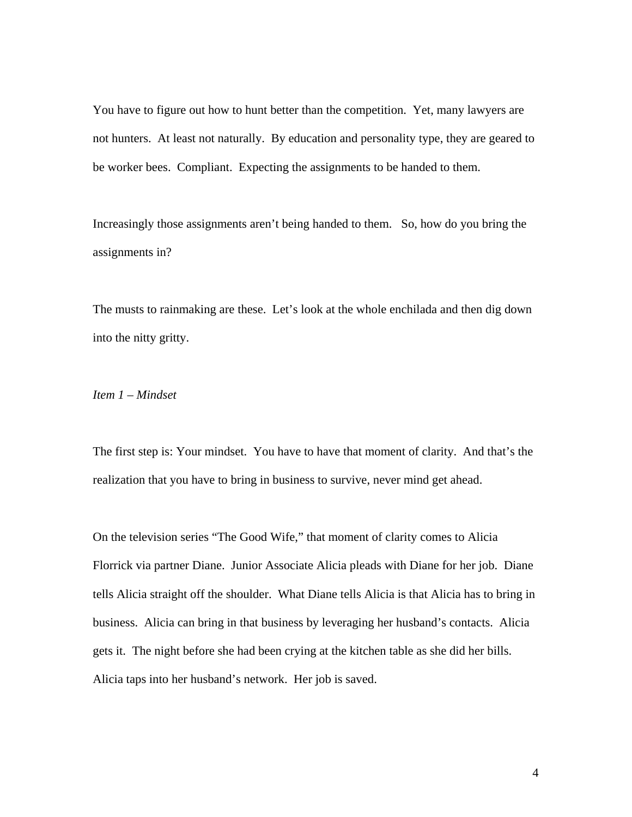You have to figure out how to hunt better than the competition. Yet, many lawyers are not hunters. At least not naturally. By education and personality type, they are geared to be worker bees. Compliant. Expecting the assignments to be handed to them.

Increasingly those assignments aren't being handed to them. So, how do you bring the assignments in?

The musts to rainmaking are these. Let's look at the whole enchilada and then dig down into the nitty gritty.

## *Item 1 – Mindset*

The first step is: Your mindset. You have to have that moment of clarity. And that's the realization that you have to bring in business to survive, never mind get ahead.

On the television series "The Good Wife," that moment of clarity comes to Alicia Florrick via partner Diane. Junior Associate Alicia pleads with Diane for her job. Diane tells Alicia straight off the shoulder. What Diane tells Alicia is that Alicia has to bring in business. Alicia can bring in that business by leveraging her husband's contacts. Alicia gets it. The night before she had been crying at the kitchen table as she did her bills. Alicia taps into her husband's network. Her job is saved.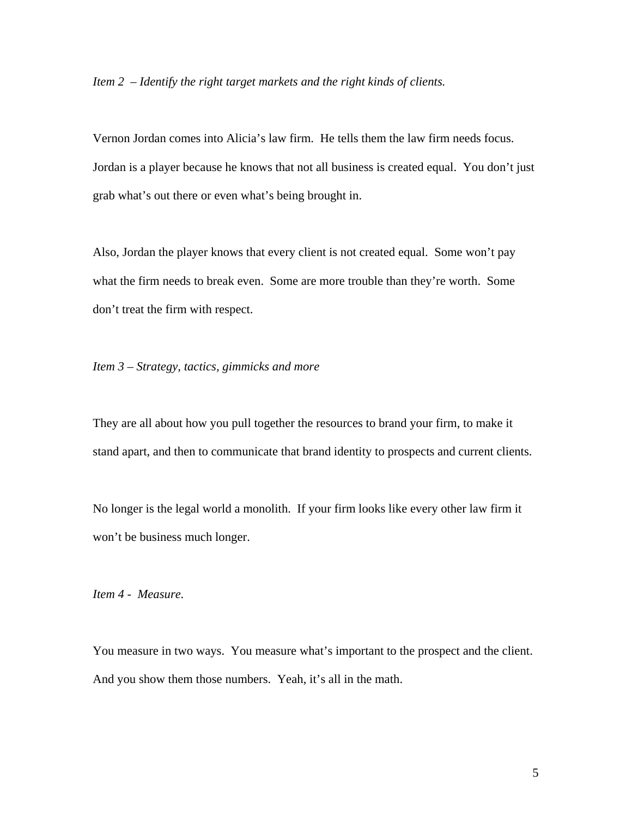*Item 2 – Identify the right target markets and the right kinds of clients.*

Vernon Jordan comes into Alicia's law firm. He tells them the law firm needs focus. Jordan is a player because he knows that not all business is created equal. You don't just grab what's out there or even what's being brought in.

Also, Jordan the player knows that every client is not created equal. Some won't pay what the firm needs to break even. Some are more trouble than they're worth. Some don't treat the firm with respect.

*Item 3 – Strategy, tactics, gimmicks and more* 

They are all about how you pull together the resources to brand your firm, to make it stand apart, and then to communicate that brand identity to prospects and current clients.

No longer is the legal world a monolith. If your firm looks like every other law firm it won't be business much longer.

*Item 4 - Measure.*

You measure in two ways. You measure what's important to the prospect and the client. And you show them those numbers. Yeah, it's all in the math.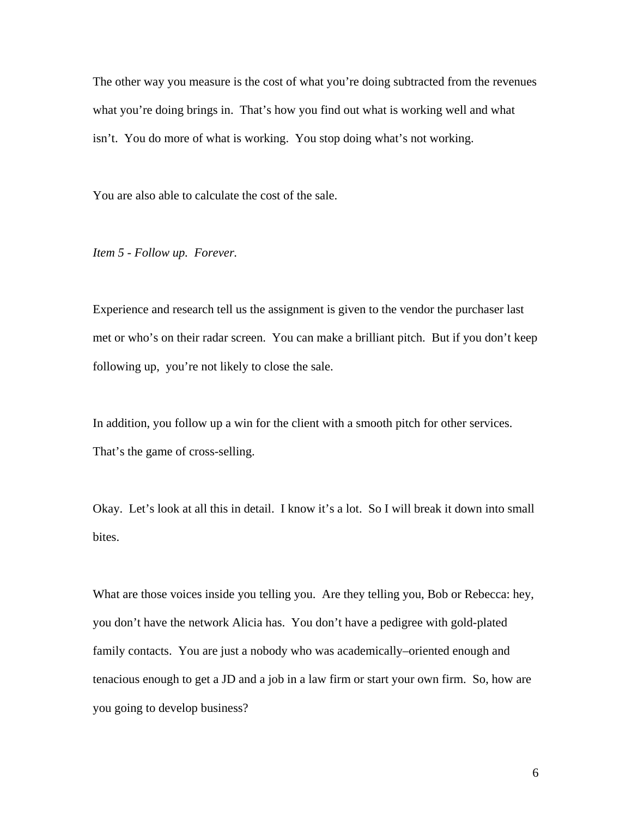The other way you measure is the cost of what you're doing subtracted from the revenues what you're doing brings in. That's how you find out what is working well and what isn't. You do more of what is working. You stop doing what's not working.

You are also able to calculate the cost of the sale.

*Item 5 - Follow up. Forever.*

Experience and research tell us the assignment is given to the vendor the purchaser last met or who's on their radar screen. You can make a brilliant pitch. But if you don't keep following up, you're not likely to close the sale.

In addition, you follow up a win for the client with a smooth pitch for other services. That's the game of cross-selling.

Okay. Let's look at all this in detail. I know it's a lot. So I will break it down into small bites.

What are those voices inside you telling you. Are they telling you, Bob or Rebecca: hey, you don't have the network Alicia has. You don't have a pedigree with gold-plated family contacts. You are just a nobody who was academically–oriented enough and tenacious enough to get a JD and a job in a law firm or start your own firm. So, how are you going to develop business?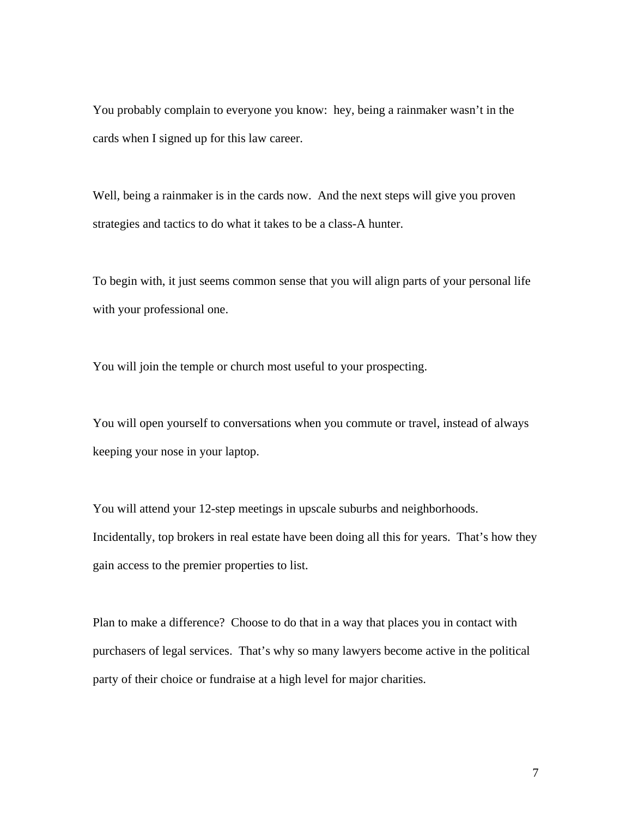You probably complain to everyone you know: hey, being a rainmaker wasn't in the cards when I signed up for this law career.

Well, being a rainmaker is in the cards now. And the next steps will give you proven strategies and tactics to do what it takes to be a class-A hunter.

To begin with, it just seems common sense that you will align parts of your personal life with your professional one.

You will join the temple or church most useful to your prospecting.

You will open yourself to conversations when you commute or travel, instead of always keeping your nose in your laptop.

You will attend your 12-step meetings in upscale suburbs and neighborhoods. Incidentally, top brokers in real estate have been doing all this for years. That's how they gain access to the premier properties to list.

Plan to make a difference? Choose to do that in a way that places you in contact with purchasers of legal services. That's why so many lawyers become active in the political party of their choice or fundraise at a high level for major charities.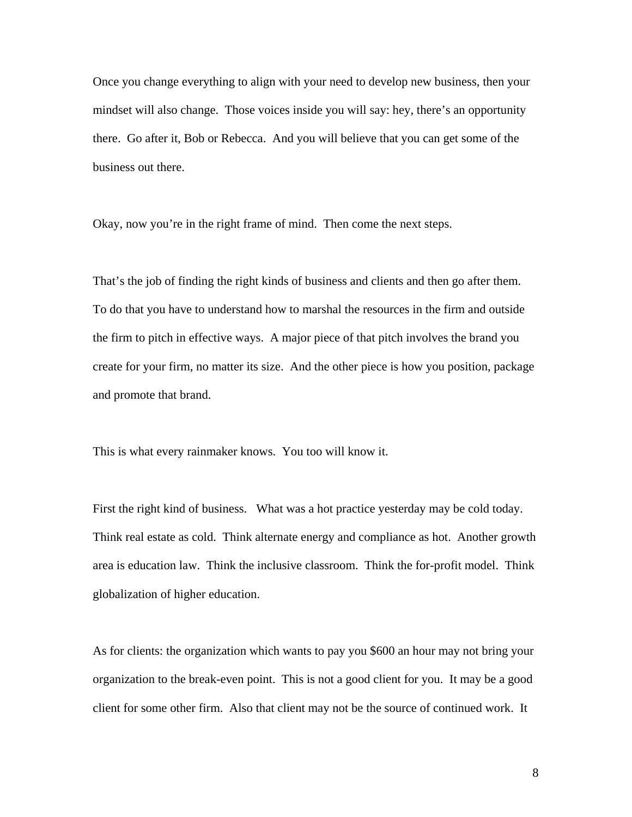Once you change everything to align with your need to develop new business, then your mindset will also change. Those voices inside you will say: hey, there's an opportunity there. Go after it, Bob or Rebecca. And you will believe that you can get some of the business out there.

Okay, now you're in the right frame of mind. Then come the next steps.

That's the job of finding the right kinds of business and clients and then go after them. To do that you have to understand how to marshal the resources in the firm and outside the firm to pitch in effective ways. A major piece of that pitch involves the brand you create for your firm, no matter its size. And the other piece is how you position, package and promote that brand.

This is what every rainmaker knows. You too will know it.

First the right kind of business. What was a hot practice yesterday may be cold today. Think real estate as cold. Think alternate energy and compliance as hot. Another growth area is education law. Think the inclusive classroom. Think the for-profit model. Think globalization of higher education.

As for clients: the organization which wants to pay you \$600 an hour may not bring your organization to the break-even point. This is not a good client for you. It may be a good client for some other firm. Also that client may not be the source of continued work. It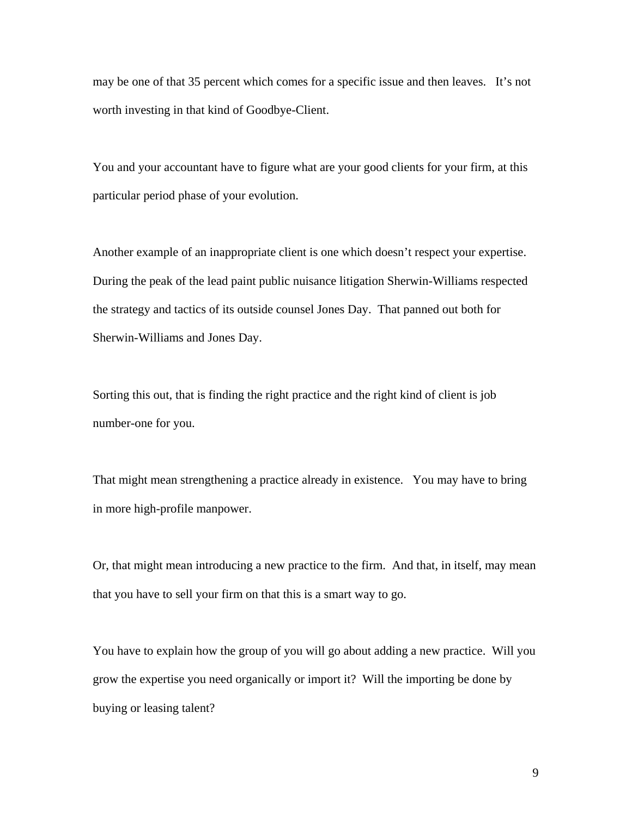may be one of that 35 percent which comes for a specific issue and then leaves. It's not worth investing in that kind of Goodbye-Client.

You and your accountant have to figure what are your good clients for your firm, at this particular period phase of your evolution.

Another example of an inappropriate client is one which doesn't respect your expertise. During the peak of the lead paint public nuisance litigation Sherwin-Williams respected the strategy and tactics of its outside counsel Jones Day. That panned out both for Sherwin-Williams and Jones Day.

Sorting this out, that is finding the right practice and the right kind of client is job number-one for you.

That might mean strengthening a practice already in existence. You may have to bring in more high-profile manpower.

Or, that might mean introducing a new practice to the firm. And that, in itself, may mean that you have to sell your firm on that this is a smart way to go.

You have to explain how the group of you will go about adding a new practice. Will you grow the expertise you need organically or import it? Will the importing be done by buying or leasing talent?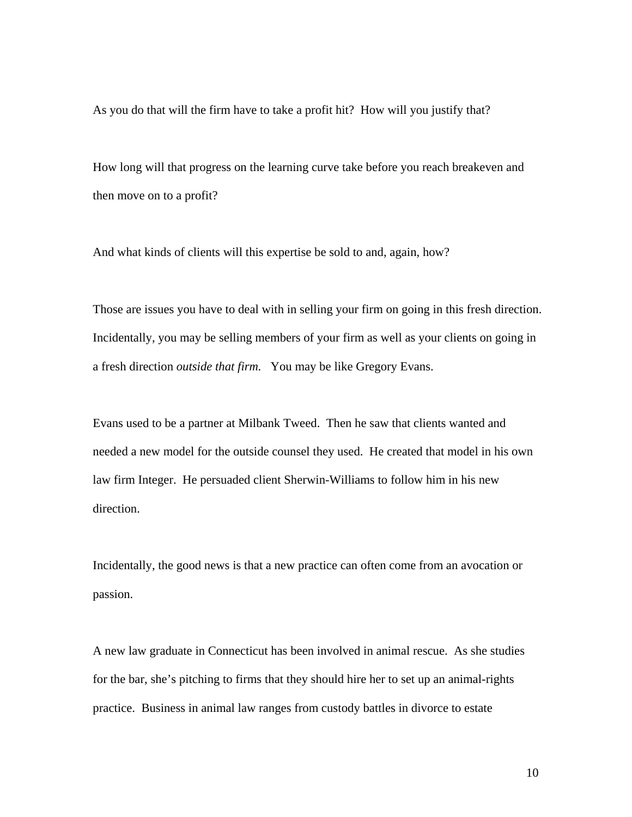As you do that will the firm have to take a profit hit? How will you justify that?

How long will that progress on the learning curve take before you reach breakeven and then move on to a profit?

And what kinds of clients will this expertise be sold to and, again, how?

Those are issues you have to deal with in selling your firm on going in this fresh direction. Incidentally, you may be selling members of your firm as well as your clients on going in a fresh direction *outside that firm.* You may be like Gregory Evans.

Evans used to be a partner at Milbank Tweed. Then he saw that clients wanted and needed a new model for the outside counsel they used. He created that model in his own law firm Integer. He persuaded client Sherwin-Williams to follow him in his new direction.

Incidentally, the good news is that a new practice can often come from an avocation or passion.

A new law graduate in Connecticut has been involved in animal rescue. As she studies for the bar, she's pitching to firms that they should hire her to set up an animal-rights practice. Business in animal law ranges from custody battles in divorce to estate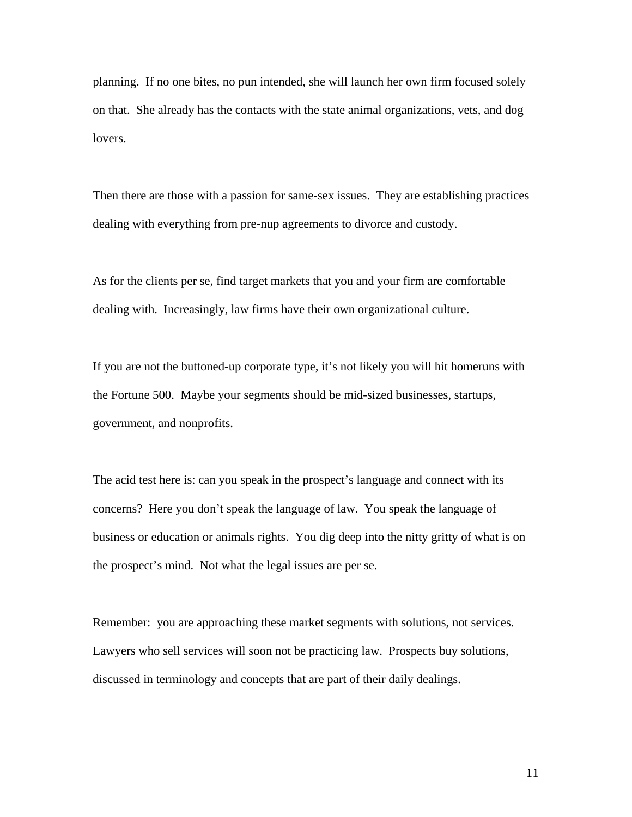planning. If no one bites, no pun intended, she will launch her own firm focused solely on that. She already has the contacts with the state animal organizations, vets, and dog lovers.

Then there are those with a passion for same-sex issues. They are establishing practices dealing with everything from pre-nup agreements to divorce and custody.

As for the clients per se, find target markets that you and your firm are comfortable dealing with. Increasingly, law firms have their own organizational culture.

If you are not the buttoned-up corporate type, it's not likely you will hit homeruns with the Fortune 500. Maybe your segments should be mid-sized businesses, startups, government, and nonprofits.

The acid test here is: can you speak in the prospect's language and connect with its concerns? Here you don't speak the language of law. You speak the language of business or education or animals rights. You dig deep into the nitty gritty of what is on the prospect's mind. Not what the legal issues are per se.

Remember: you are approaching these market segments with solutions, not services. Lawyers who sell services will soon not be practicing law. Prospects buy solutions, discussed in terminology and concepts that are part of their daily dealings.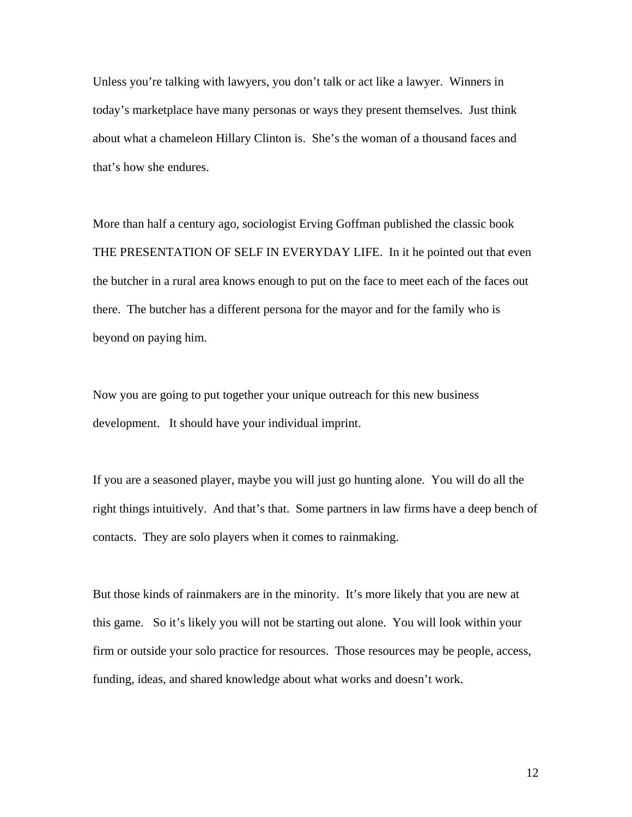Unless you're talking with lawyers, you don't talk or act like a lawyer. Winners in today's marketplace have many personas or ways they present themselves. Just think about what a chameleon Hillary Clinton is. She's the woman of a thousand faces and that's how she endures.

More than half a century ago, sociologist Erving Goffman published the classic book THE PRESENTATION OF SELF IN EVERYDAY LIFE. In it he pointed out that even the butcher in a rural area knows enough to put on the face to meet each of the faces out there. The butcher has a different persona for the mayor and for the family who is beyond on paying him.

Now you are going to put together your unique outreach for this new business development. It should have your individual imprint.

If you are a seasoned player, maybe you will just go hunting alone. You will do all the right things intuitively. And that's that. Some partners in law firms have a deep bench of contacts. They are solo players when it comes to rainmaking.

But those kinds of rainmakers are in the minority. It's more likely that you are new at this game. So it's likely you will not be starting out alone. You will look within your firm or outside your solo practice for resources. Those resources may be people, access, funding, ideas, and shared knowledge about what works and doesn't work.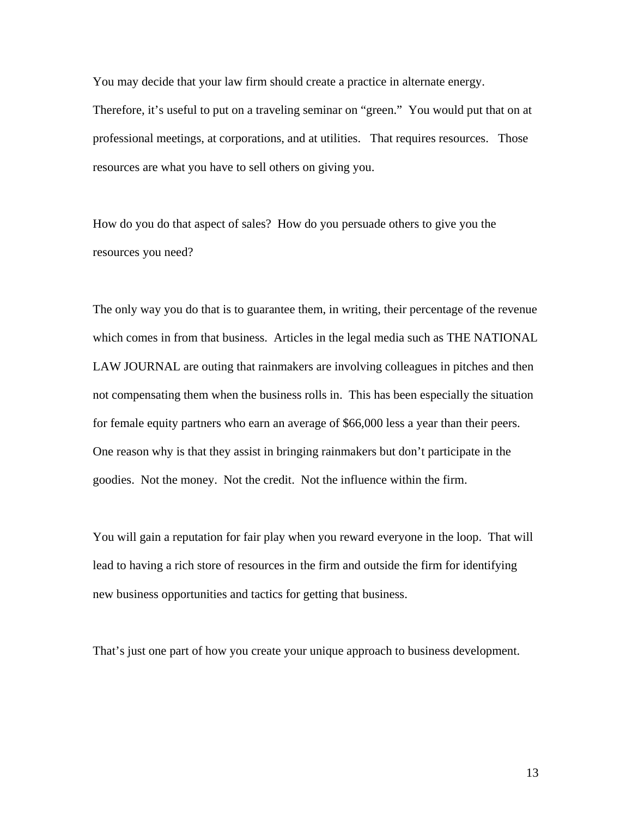You may decide that your law firm should create a practice in alternate energy. Therefore, it's useful to put on a traveling seminar on "green." You would put that on at professional meetings, at corporations, and at utilities. That requires resources. Those resources are what you have to sell others on giving you.

How do you do that aspect of sales? How do you persuade others to give you the resources you need?

The only way you do that is to guarantee them, in writing, their percentage of the revenue which comes in from that business. Articles in the legal media such as THE NATIONAL LAW JOURNAL are outing that rainmakers are involving colleagues in pitches and then not compensating them when the business rolls in. This has been especially the situation for female equity partners who earn an average of \$66,000 less a year than their peers. One reason why is that they assist in bringing rainmakers but don't participate in the goodies. Not the money. Not the credit. Not the influence within the firm.

You will gain a reputation for fair play when you reward everyone in the loop. That will lead to having a rich store of resources in the firm and outside the firm for identifying new business opportunities and tactics for getting that business.

That's just one part of how you create your unique approach to business development.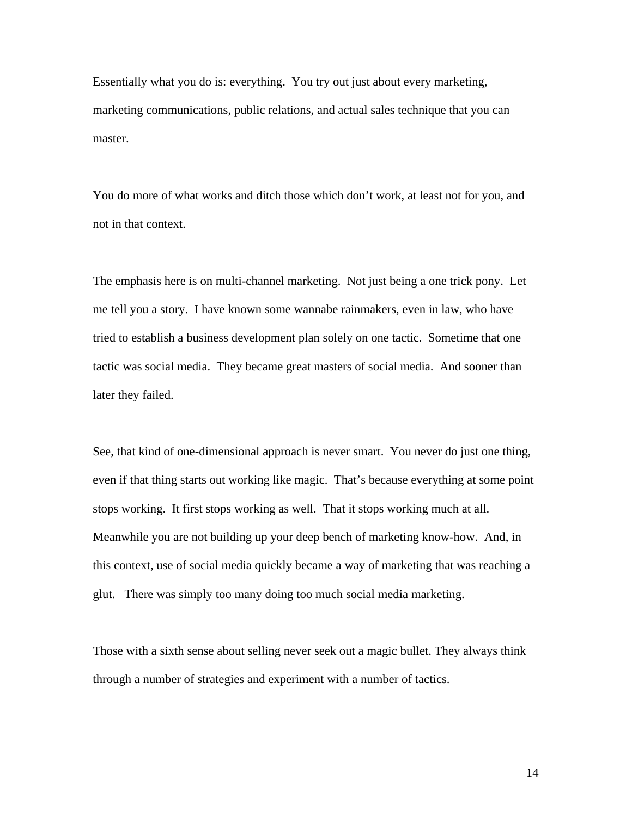Essentially what you do is: everything. You try out just about every marketing, marketing communications, public relations, and actual sales technique that you can master.

You do more of what works and ditch those which don't work, at least not for you, and not in that context.

The emphasis here is on multi-channel marketing. Not just being a one trick pony. Let me tell you a story. I have known some wannabe rainmakers, even in law, who have tried to establish a business development plan solely on one tactic. Sometime that one tactic was social media. They became great masters of social media. And sooner than later they failed.

See, that kind of one-dimensional approach is never smart. You never do just one thing, even if that thing starts out working like magic. That's because everything at some point stops working. It first stops working as well. That it stops working much at all. Meanwhile you are not building up your deep bench of marketing know-how. And, in this context, use of social media quickly became a way of marketing that was reaching a glut. There was simply too many doing too much social media marketing.

Those with a sixth sense about selling never seek out a magic bullet. They always think through a number of strategies and experiment with a number of tactics.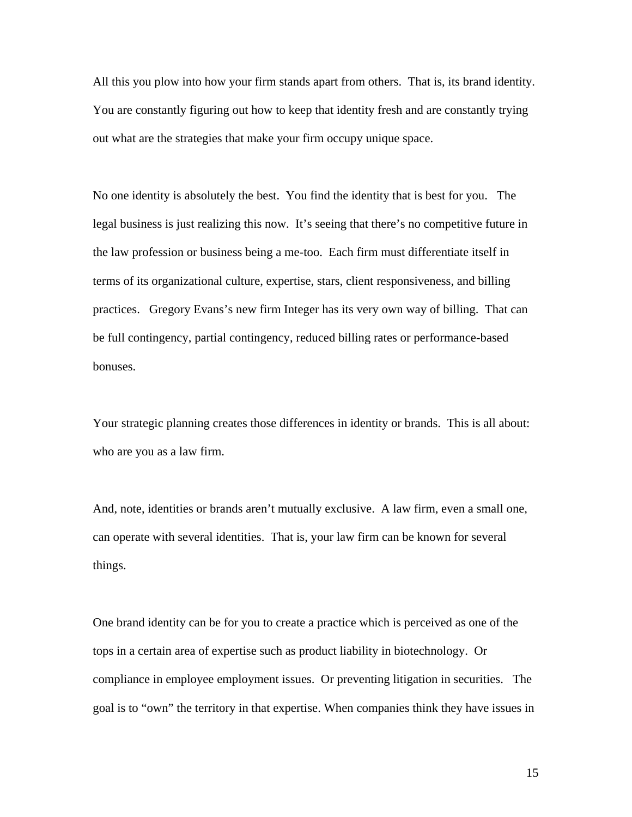All this you plow into how your firm stands apart from others. That is, its brand identity. You are constantly figuring out how to keep that identity fresh and are constantly trying out what are the strategies that make your firm occupy unique space.

No one identity is absolutely the best. You find the identity that is best for you. The legal business is just realizing this now. It's seeing that there's no competitive future in the law profession or business being a me-too. Each firm must differentiate itself in terms of its organizational culture, expertise, stars, client responsiveness, and billing practices. Gregory Evans's new firm Integer has its very own way of billing. That can be full contingency, partial contingency, reduced billing rates or performance-based bonuses.

Your strategic planning creates those differences in identity or brands. This is all about: who are you as a law firm.

And, note, identities or brands aren't mutually exclusive. A law firm, even a small one, can operate with several identities. That is, your law firm can be known for several things.

One brand identity can be for you to create a practice which is perceived as one of the tops in a certain area of expertise such as product liability in biotechnology. Or compliance in employee employment issues. Or preventing litigation in securities. The goal is to "own" the territory in that expertise. When companies think they have issues in

15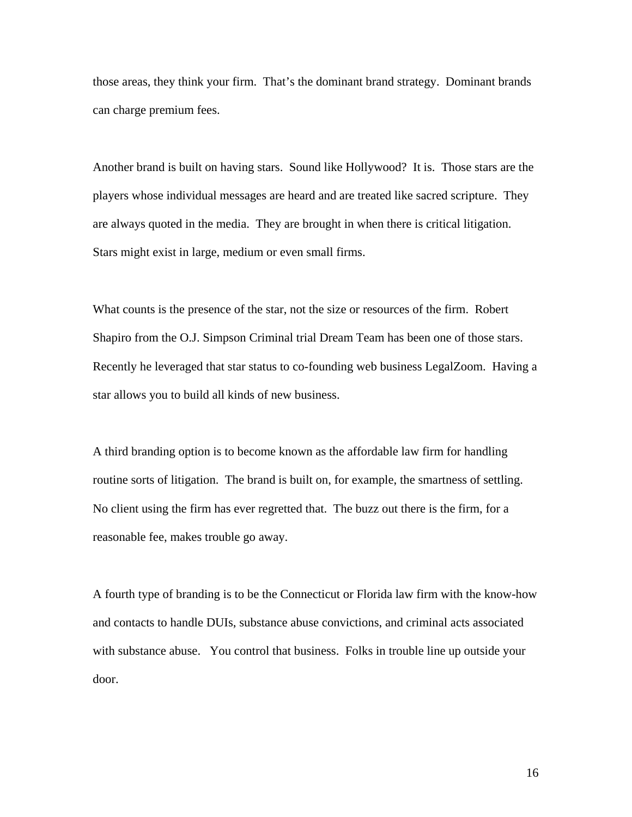those areas, they think your firm. That's the dominant brand strategy. Dominant brands can charge premium fees.

Another brand is built on having stars. Sound like Hollywood? It is. Those stars are the players whose individual messages are heard and are treated like sacred scripture. They are always quoted in the media. They are brought in when there is critical litigation. Stars might exist in large, medium or even small firms.

What counts is the presence of the star, not the size or resources of the firm. Robert Shapiro from the O.J. Simpson Criminal trial Dream Team has been one of those stars. Recently he leveraged that star status to co-founding web business LegalZoom. Having a star allows you to build all kinds of new business.

A third branding option is to become known as the affordable law firm for handling routine sorts of litigation. The brand is built on, for example, the smartness of settling. No client using the firm has ever regretted that. The buzz out there is the firm, for a reasonable fee, makes trouble go away.

A fourth type of branding is to be the Connecticut or Florida law firm with the know-how and contacts to handle DUIs, substance abuse convictions, and criminal acts associated with substance abuse. You control that business. Folks in trouble line up outside your door.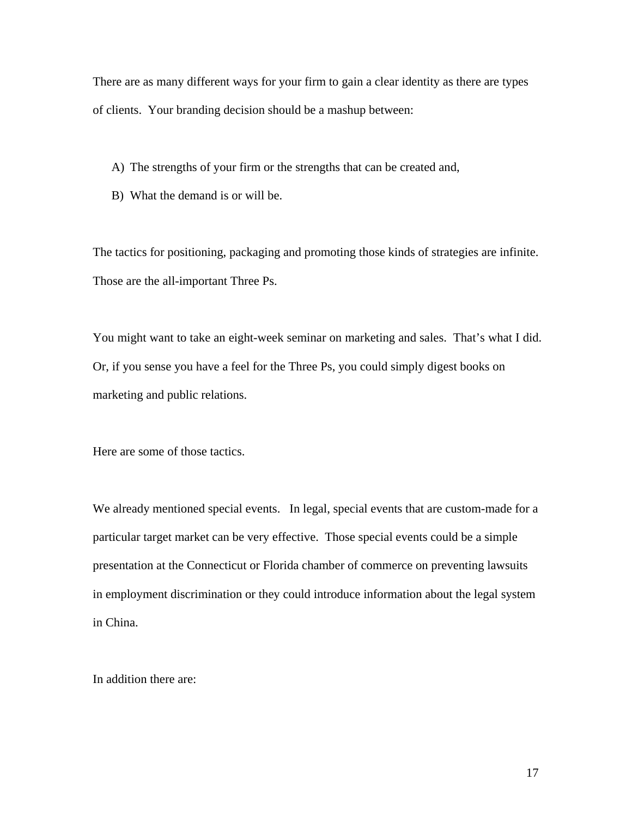There are as many different ways for your firm to gain a clear identity as there are types of clients. Your branding decision should be a mashup between:

- A) The strengths of your firm or the strengths that can be created and,
- B) What the demand is or will be.

The tactics for positioning, packaging and promoting those kinds of strategies are infinite. Those are the all-important Three Ps.

You might want to take an eight-week seminar on marketing and sales. That's what I did. Or, if you sense you have a feel for the Three Ps, you could simply digest books on marketing and public relations.

Here are some of those tactics.

We already mentioned special events. In legal, special events that are custom-made for a particular target market can be very effective. Those special events could be a simple presentation at the Connecticut or Florida chamber of commerce on preventing lawsuits in employment discrimination or they could introduce information about the legal system in China.

In addition there are: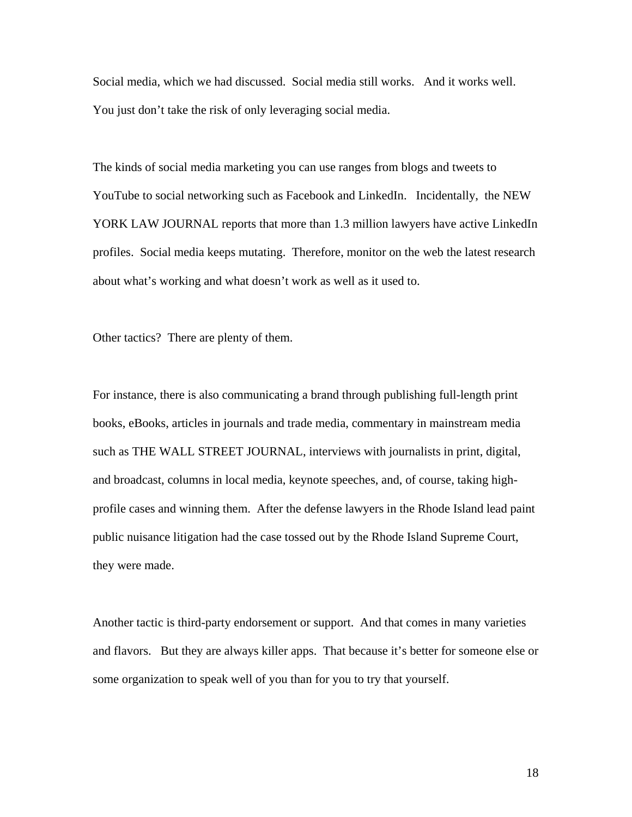Social media, which we had discussed. Social media still works. And it works well. You just don't take the risk of only leveraging social media.

The kinds of social media marketing you can use ranges from blogs and tweets to YouTube to social networking such as Facebook and LinkedIn. Incidentally, the NEW YORK LAW JOURNAL reports that more than 1.3 million lawyers have active LinkedIn profiles. Social media keeps mutating. Therefore, monitor on the web the latest research about what's working and what doesn't work as well as it used to.

Other tactics? There are plenty of them.

For instance, there is also communicating a brand through publishing full-length print books, eBooks, articles in journals and trade media, commentary in mainstream media such as THE WALL STREET JOURNAL, interviews with journalists in print, digital, and broadcast, columns in local media, keynote speeches, and, of course, taking highprofile cases and winning them. After the defense lawyers in the Rhode Island lead paint public nuisance litigation had the case tossed out by the Rhode Island Supreme Court, they were made.

Another tactic is third-party endorsement or support. And that comes in many varieties and flavors. But they are always killer apps. That because it's better for someone else or some organization to speak well of you than for you to try that yourself.

18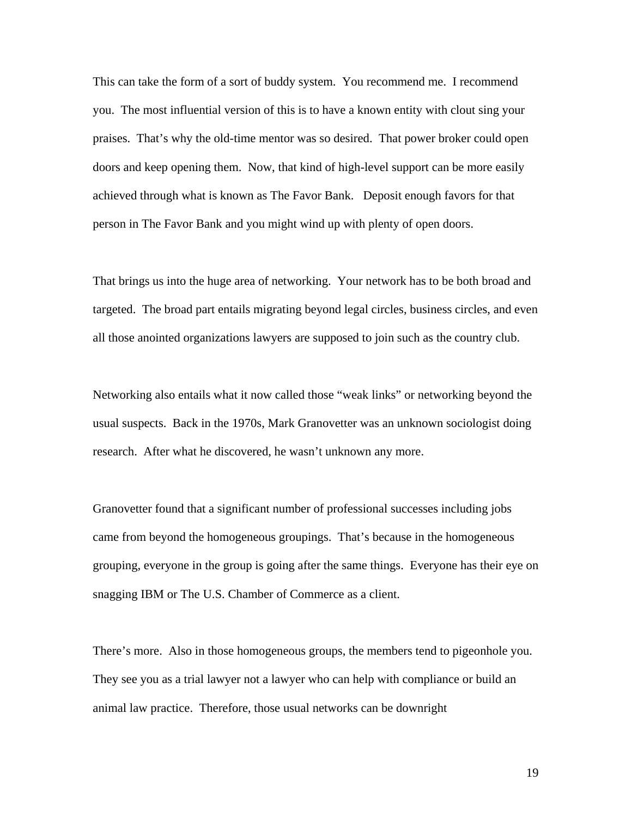This can take the form of a sort of buddy system. You recommend me. I recommend you. The most influential version of this is to have a known entity with clout sing your praises. That's why the old-time mentor was so desired. That power broker could open doors and keep opening them. Now, that kind of high-level support can be more easily achieved through what is known as The Favor Bank. Deposit enough favors for that person in The Favor Bank and you might wind up with plenty of open doors.

That brings us into the huge area of networking. Your network has to be both broad and targeted. The broad part entails migrating beyond legal circles, business circles, and even all those anointed organizations lawyers are supposed to join such as the country club.

Networking also entails what it now called those "weak links" or networking beyond the usual suspects. Back in the 1970s, Mark Granovetter was an unknown sociologist doing research. After what he discovered, he wasn't unknown any more.

Granovetter found that a significant number of professional successes including jobs came from beyond the homogeneous groupings. That's because in the homogeneous grouping, everyone in the group is going after the same things. Everyone has their eye on snagging IBM or The U.S. Chamber of Commerce as a client.

There's more. Also in those homogeneous groups, the members tend to pigeonhole you. They see you as a trial lawyer not a lawyer who can help with compliance or build an animal law practice. Therefore, those usual networks can be downright

19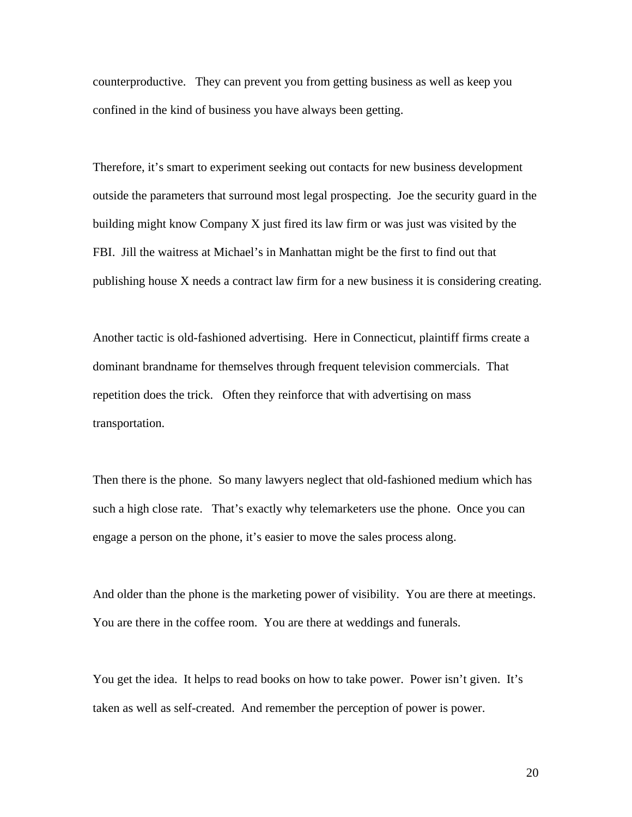counterproductive. They can prevent you from getting business as well as keep you confined in the kind of business you have always been getting.

Therefore, it's smart to experiment seeking out contacts for new business development outside the parameters that surround most legal prospecting. Joe the security guard in the building might know Company X just fired its law firm or was just was visited by the FBI. Jill the waitress at Michael's in Manhattan might be the first to find out that publishing house X needs a contract law firm for a new business it is considering creating.

Another tactic is old-fashioned advertising. Here in Connecticut, plaintiff firms create a dominant brandname for themselves through frequent television commercials. That repetition does the trick. Often they reinforce that with advertising on mass transportation.

Then there is the phone. So many lawyers neglect that old-fashioned medium which has such a high close rate. That's exactly why telemarketers use the phone. Once you can engage a person on the phone, it's easier to move the sales process along.

And older than the phone is the marketing power of visibility. You are there at meetings. You are there in the coffee room. You are there at weddings and funerals.

You get the idea. It helps to read books on how to take power. Power isn't given. It's taken as well as self-created. And remember the perception of power is power.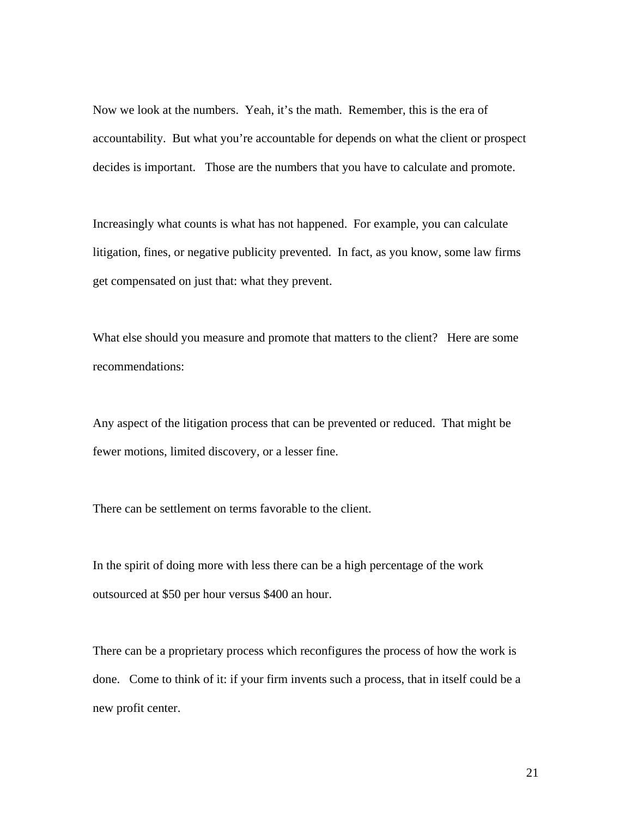Now we look at the numbers. Yeah, it's the math. Remember, this is the era of accountability. But what you're accountable for depends on what the client or prospect decides is important. Those are the numbers that you have to calculate and promote.

Increasingly what counts is what has not happened. For example, you can calculate litigation, fines, or negative publicity prevented. In fact, as you know, some law firms get compensated on just that: what they prevent.

What else should you measure and promote that matters to the client? Here are some recommendations:

Any aspect of the litigation process that can be prevented or reduced. That might be fewer motions, limited discovery, or a lesser fine.

There can be settlement on terms favorable to the client.

In the spirit of doing more with less there can be a high percentage of the work outsourced at \$50 per hour versus \$400 an hour.

There can be a proprietary process which reconfigures the process of how the work is done. Come to think of it: if your firm invents such a process, that in itself could be a new profit center.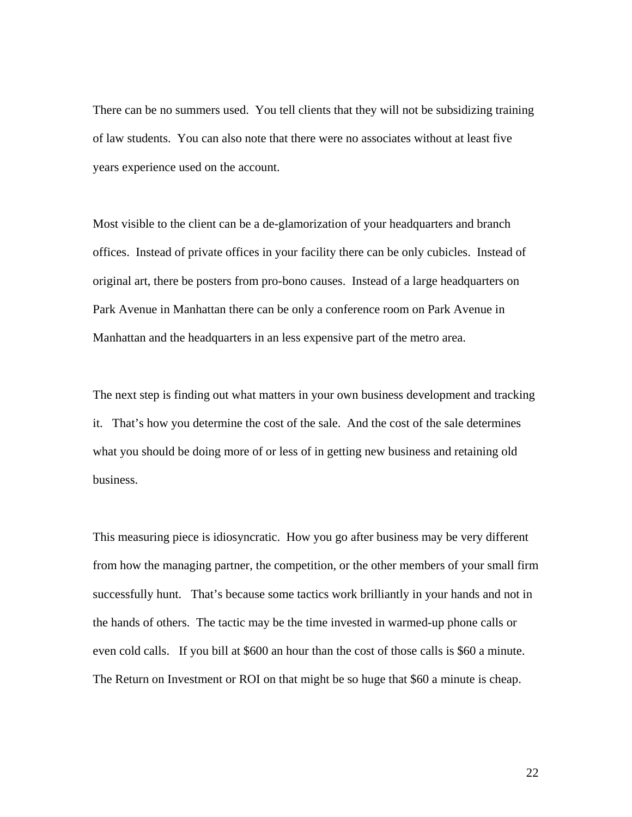There can be no summers used. You tell clients that they will not be subsidizing training of law students. You can also note that there were no associates without at least five years experience used on the account.

Most visible to the client can be a de-glamorization of your headquarters and branch offices. Instead of private offices in your facility there can be only cubicles. Instead of original art, there be posters from pro-bono causes. Instead of a large headquarters on Park Avenue in Manhattan there can be only a conference room on Park Avenue in Manhattan and the headquarters in an less expensive part of the metro area.

The next step is finding out what matters in your own business development and tracking it. That's how you determine the cost of the sale. And the cost of the sale determines what you should be doing more of or less of in getting new business and retaining old business.

This measuring piece is idiosyncratic. How you go after business may be very different from how the managing partner, the competition, or the other members of your small firm successfully hunt. That's because some tactics work brilliantly in your hands and not in the hands of others. The tactic may be the time invested in warmed-up phone calls or even cold calls. If you bill at \$600 an hour than the cost of those calls is \$60 a minute. The Return on Investment or ROI on that might be so huge that \$60 a minute is cheap.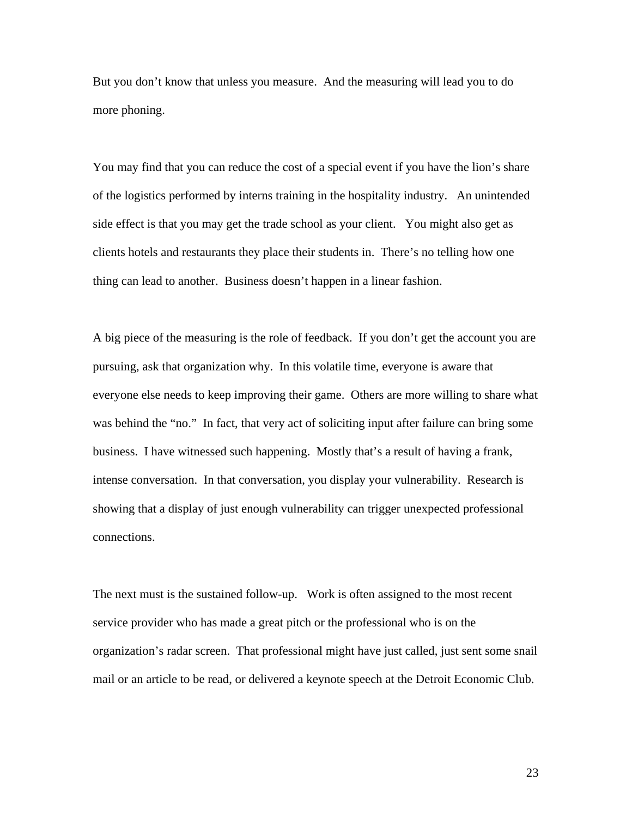But you don't know that unless you measure. And the measuring will lead you to do more phoning.

You may find that you can reduce the cost of a special event if you have the lion's share of the logistics performed by interns training in the hospitality industry. An unintended side effect is that you may get the trade school as your client. You might also get as clients hotels and restaurants they place their students in. There's no telling how one thing can lead to another. Business doesn't happen in a linear fashion.

A big piece of the measuring is the role of feedback. If you don't get the account you are pursuing, ask that organization why. In this volatile time, everyone is aware that everyone else needs to keep improving their game. Others are more willing to share what was behind the "no." In fact, that very act of soliciting input after failure can bring some business. I have witnessed such happening. Mostly that's a result of having a frank, intense conversation. In that conversation, you display your vulnerability. Research is showing that a display of just enough vulnerability can trigger unexpected professional connections.

The next must is the sustained follow-up. Work is often assigned to the most recent service provider who has made a great pitch or the professional who is on the organization's radar screen. That professional might have just called, just sent some snail mail or an article to be read, or delivered a keynote speech at the Detroit Economic Club.

23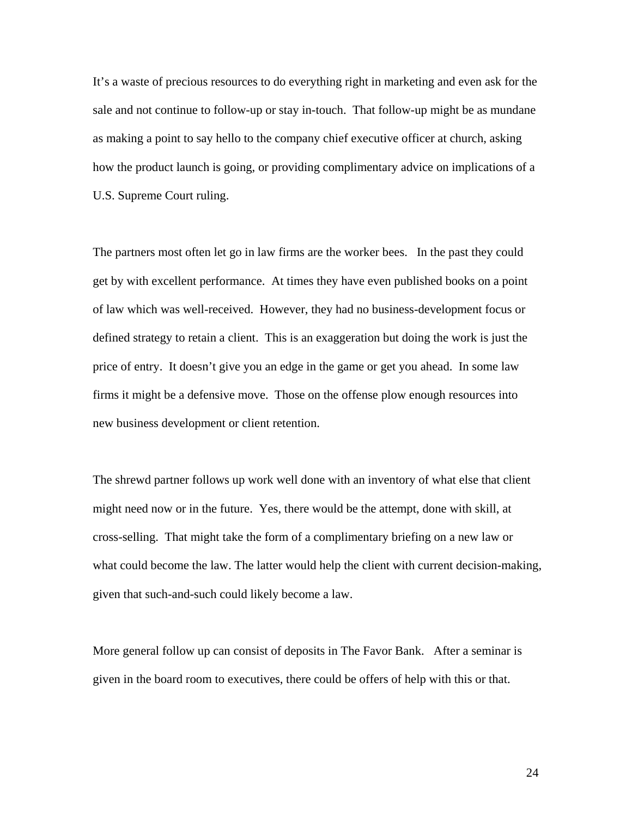It's a waste of precious resources to do everything right in marketing and even ask for the sale and not continue to follow-up or stay in-touch. That follow-up might be as mundane as making a point to say hello to the company chief executive officer at church, asking how the product launch is going, or providing complimentary advice on implications of a U.S. Supreme Court ruling.

The partners most often let go in law firms are the worker bees. In the past they could get by with excellent performance. At times they have even published books on a point of law which was well-received. However, they had no business-development focus or defined strategy to retain a client. This is an exaggeration but doing the work is just the price of entry. It doesn't give you an edge in the game or get you ahead. In some law firms it might be a defensive move. Those on the offense plow enough resources into new business development or client retention.

The shrewd partner follows up work well done with an inventory of what else that client might need now or in the future. Yes, there would be the attempt, done with skill, at cross-selling. That might take the form of a complimentary briefing on a new law or what could become the law. The latter would help the client with current decision-making, given that such-and-such could likely become a law.

More general follow up can consist of deposits in The Favor Bank. After a seminar is given in the board room to executives, there could be offers of help with this or that.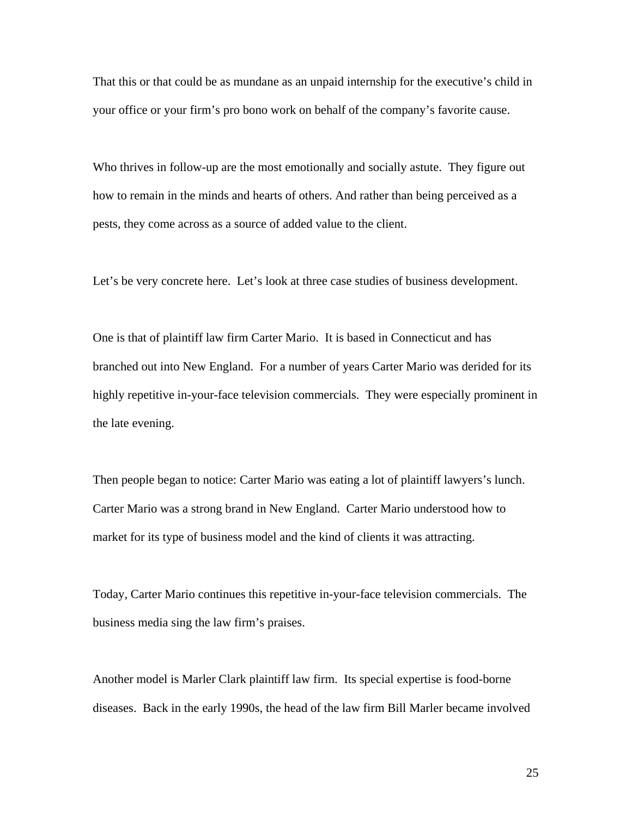That this or that could be as mundane as an unpaid internship for the executive's child in your office or your firm's pro bono work on behalf of the company's favorite cause.

Who thrives in follow-up are the most emotionally and socially astute. They figure out how to remain in the minds and hearts of others. And rather than being perceived as a pests, they come across as a source of added value to the client.

Let's be very concrete here. Let's look at three case studies of business development.

One is that of plaintiff law firm Carter Mario. It is based in Connecticut and has branched out into New England. For a number of years Carter Mario was derided for its highly repetitive in-your-face television commercials. They were especially prominent in the late evening.

Then people began to notice: Carter Mario was eating a lot of plaintiff lawyers's lunch. Carter Mario was a strong brand in New England. Carter Mario understood how to market for its type of business model and the kind of clients it was attracting.

Today, Carter Mario continues this repetitive in-your-face television commercials. The business media sing the law firm's praises.

Another model is Marler Clark plaintiff law firm. Its special expertise is food-borne diseases. Back in the early 1990s, the head of the law firm Bill Marler became involved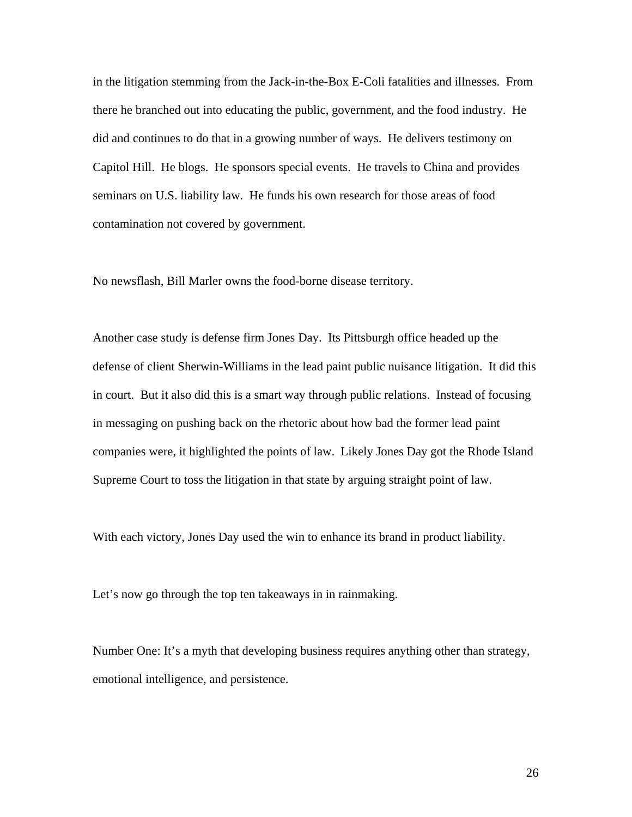in the litigation stemming from the Jack-in-the-Box E-Coli fatalities and illnesses. From there he branched out into educating the public, government, and the food industry. He did and continues to do that in a growing number of ways. He delivers testimony on Capitol Hill. He blogs. He sponsors special events. He travels to China and provides seminars on U.S. liability law. He funds his own research for those areas of food contamination not covered by government.

No newsflash, Bill Marler owns the food-borne disease territory.

Another case study is defense firm Jones Day. Its Pittsburgh office headed up the defense of client Sherwin-Williams in the lead paint public nuisance litigation. It did this in court. But it also did this is a smart way through public relations. Instead of focusing in messaging on pushing back on the rhetoric about how bad the former lead paint companies were, it highlighted the points of law. Likely Jones Day got the Rhode Island Supreme Court to toss the litigation in that state by arguing straight point of law.

With each victory, Jones Day used the win to enhance its brand in product liability.

Let's now go through the top ten takeaways in in rainmaking.

Number One: It's a myth that developing business requires anything other than strategy, emotional intelligence, and persistence.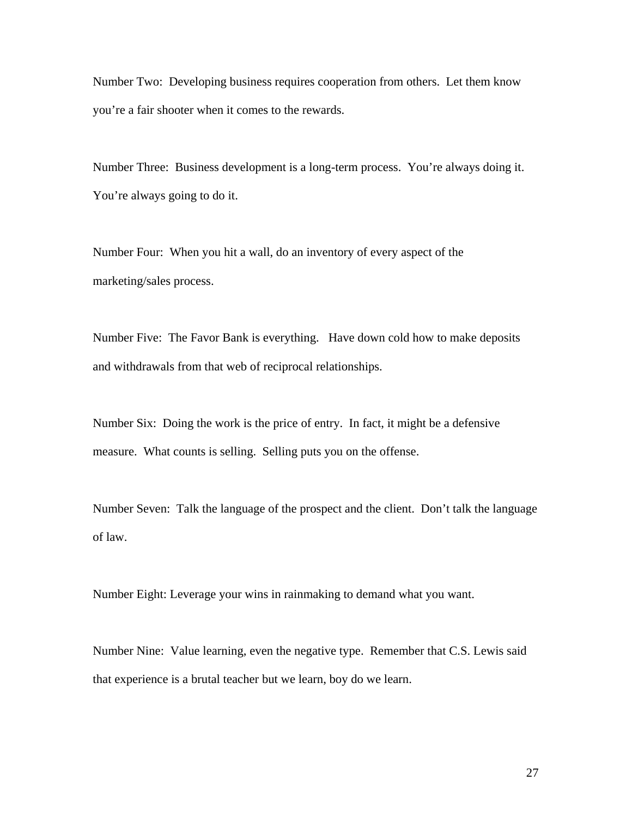Number Two: Developing business requires cooperation from others. Let them know you're a fair shooter when it comes to the rewards.

Number Three: Business development is a long-term process. You're always doing it. You're always going to do it.

Number Four: When you hit a wall, do an inventory of every aspect of the marketing/sales process.

Number Five: The Favor Bank is everything. Have down cold how to make deposits and withdrawals from that web of reciprocal relationships.

Number Six: Doing the work is the price of entry. In fact, it might be a defensive measure. What counts is selling. Selling puts you on the offense.

Number Seven: Talk the language of the prospect and the client. Don't talk the language of law.

Number Eight: Leverage your wins in rainmaking to demand what you want.

Number Nine: Value learning, even the negative type. Remember that C.S. Lewis said that experience is a brutal teacher but we learn, boy do we learn.